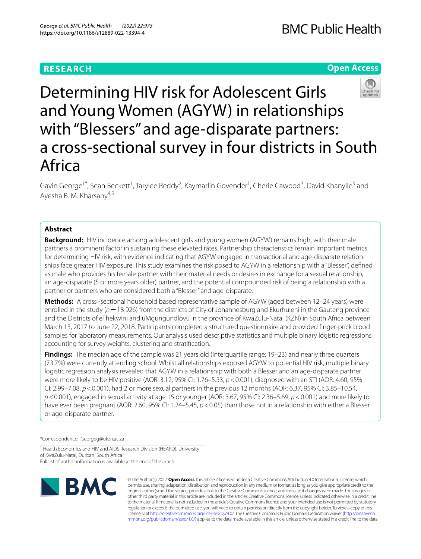# **RESEARCH**

## **Open Access**



Determining HIV risk for Adolescent Girls and Young Women (AGYW) in relationships with "Blessers" and age-disparate partners: a cross-sectional survey in four districts in South Africa

Gavin George<sup>1\*</sup>, Sean Beckett<sup>1</sup>, Tarylee Reddy<sup>2</sup>, Kaymarlin Govender<sup>1</sup>, Cherie Cawood<sup>3</sup>, David Khanyile<sup>3</sup> and Ayesha B. M. Kharsany<sup>4,5</sup>

## **Abstract**

**Background:** HIV incidence among adolescent girls and young women (AGYW) remains high, with their male partners a prominent factor in sustaining these elevated rates. Partnership characteristics remain important metrics for determining HIV risk, with evidence indicating that AGYW engaged in transactional and age-disparate relationships face greater HIV exposure. This study examines the risk posed to AGYW in a relationship with a "Blesser", defned as male who provides his female partner with their material needs or desires in exchange for a sexual relationship, an age-disparate (5 or more years older) partner, and the potential compounded risk of being a relationship with a partner or partners who are considered both a "Blesser" and age-disparate.

**Methods:** A cross -sectional household based representative sample of AGYW (aged between 12–24 years) were enrolled in the study (*n*=18 926) from the districts of City of Johannesburg and Ekurhuleni in the Gauteng province and the Districts of eThekwini and uMgungundlovu in the province of KwaZulu-Natal (KZN) in South Africa between March 13, 2017 to June 22, 2018. Participants completed a structured questionnaire and provided fnger-prick blood samples for laboratory measurements. Our analysis used descriptive statistics and multiple binary logistic regressions accounting for survey weights, clustering and stratifcation.

**Findings:** The median age of the sample was 21 years old (Interquartile range: 19–23) and nearly three quarters (73.7%) were currently attending school. Whilst all relationships exposed AGYW to potential HIV risk, multiple binary logistic regression analysis revealed that AGYW in a relationship with both a Blesser and an age-disparate partner were more likely to be HIV positive (AOR: 3.12, 95% CI: 1.76–5.53, *p*<0.001), diagnosed with an STI (AOR: 4.60, 95% CI: 2.99–7.08, *p*<0.001), had 2 or more sexual partners in the previous 12 months (AOR: 6.37, 95% CI: 3.85–10.54, *p*<0.001), engaged in sexual activity at age 15 or younger (AOR: 3.67, 95% CI: 2.36–5.69, *p*<0.001) and more likely to have ever been pregnant (AOR: 2.60, 95% CI: 1.24–5.45,  $p < 0.05$ ) than those not in a relationship with either a Blesser or age-disparate partner.

\*Correspondence: Georgeg@ukzn.ac.za

<sup>1</sup> Health Economics and HIV and AIDS Research Division (HEARD), University of KwaZulu-Natal, Durban, South Africa Full list of author information is available at the end of the article



© The Author(s) 2022. **Open Access** This article is licensed under a Creative Commons Attribution 4.0 International License, which permits use, sharing, adaptation, distribution and reproduction in any medium or format, as long as you give appropriate credit to the original author(s) and the source, provide a link to the Creative Commons licence, and indicate if changes were made. The images or other third party material in this article are included in the article's Creative Commons licence, unless indicated otherwise in a credit line to the material. If material is not included in the article's Creative Commons licence and your intended use is not permitted by statutory regulation or exceeds the permitted use, you will need to obtain permission directly from the copyright holder. To view a copy of this licence, visit [http://creativecommons.org/licenses/by/4.0/.](http://creativecommons.org/licenses/by/4.0/) The Creative Commons Public Domain Dedication waiver ([http://creativeco](http://creativecommons.org/publicdomain/zero/1.0/) [mmons.org/publicdomain/zero/1.0/](http://creativecommons.org/publicdomain/zero/1.0/)) applies to the data made available in this article, unless otherwise stated in a credit line to the data.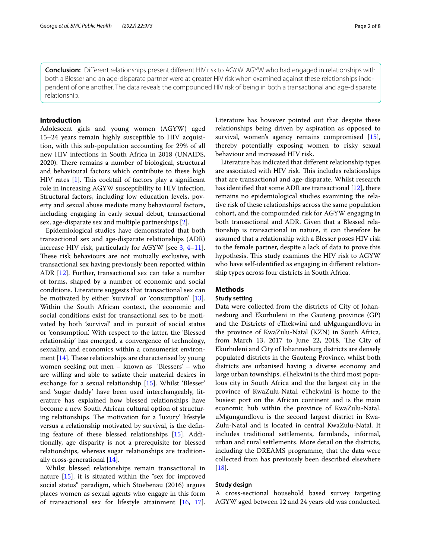**Conclusion:** Diferent relationships present diferent HIV risk to AGYW. AGYW who had engaged in relationships with both a Blesser and an age-disparate partner were at greater HIV risk when examined against these relationships independent of one another. The data reveals the compounded HIV risk of being in both a transactional and age-disparate relationship.

## **Introduction**

Adolescent girls and young women (AGYW) aged 15–24 years remain highly susceptible to HIV acquisition, with this sub-population accounting for 29% of all new HIV infections in South Africa in 2018 (UNAIDS, 2020). There remains a number of biological, structural and behavioural factors which contribute to these high HIV rates  $[1]$  $[1]$ . This cocktail of factors play a significant role in increasing AGYW susceptibility to HIV infection. Structural factors, including low education levels, poverty and sexual abuse mediate many behavioural factors, including engaging in early sexual debut, transactional sex, age-disparate sex and multiple partnerships [[2\]](#page-6-1).

Epidemiological studies have demonstrated that both transactional sex and age-disparate relationships (ADR) increase HIV risk, particularly for AGYW [see [3,](#page-6-2) [4](#page-6-3)[–11](#page-7-0)]. These risk behaviours are not mutually exclusive, with transactional sex having previously been reported within ADR [[12\]](#page-7-1). Further, transactional sex can take a number of forms, shaped by a number of economic and social conditions. Literature suggests that transactional sex can be motivated by either 'survival' or 'consumption' [\[13](#page-7-2)]. Within the South African context, the economic and social conditions exist for transactional sex to be motivated by both 'survival' and in pursuit of social status or 'consumption'. With respect to the latter, the 'Blessed relationship' has emerged, a convergence of technology, sexuality, and economics within a consumerist environment  $[14]$  $[14]$ . These relationships are characterised by young women seeking out men – known as 'Blessers' – who are willing and able to satiate their material desires in exchange for a sexual relationship [[15\]](#page-7-4). Whilst 'Blesser' and 'sugar daddy' have been used interchangeably, literature has explained how blessed relationships have become a new South African cultural option of structuring relationships. The motivation for a 'luxury' lifestyle versus a relationship motivated by survival, is the defning feature of these blessed relationships [\[15\]](#page-7-4). Additionally, age disparity is not a prerequisite for blessed relationships, whereas sugar relationships are traditionally cross-generational [[14\]](#page-7-3).

Whilst blessed relationships remain transactional in nature [[15](#page-7-4)], it is situated within the "sex for improved social status" paradigm, which Stoebenau (2016) argues places women as sexual agents who engage in this form of transactional sex for lifestyle attainment [\[16](#page-7-5), [17](#page-7-6)]. Literature has however pointed out that despite these relationships being driven by aspiration as opposed to survival, women's agency remains compromised [\[15](#page-7-4)], thereby potentially exposing women to risky sexual behaviour and increased HIV risk.

Literature has indicated that diferent relationship types are associated with HIV risk. This includes relationships that are transactional and age-disparate. Whilst research has identifed that some ADR are transactional [[12\]](#page-7-1), there remains no epidemiological studies examining the relative risk of these relationships across the same population cohort, and the compounded risk for AGYW engaging in both transactional and ADR. Given that a Blessed relationship is transactional in nature, it can therefore be assumed that a relationship with a Blesser poses HIV risk to the female partner, despite a lack of data to prove this hypothesis. This study examines the HIV risk to AGYW who have self-identifed as engaging in diferent relationship types across four districts in South Africa.

## **Methods**

## **Study setting**

Data were collected from the districts of City of Johannesburg and Ekurhuleni in the Gauteng province (GP) and the Districts of eThekwini and uMgungundlovu in the province of KwaZulu-Natal (KZN) in South Africa, from March 13, 2017 to June 22, 2018. The City of Ekurhuleni and City of Johannesburg districts are densely populated districts in the Gauteng Province, whilst both districts are urbanised having a diverse economy and large urban townships. eThekwini is the third most populous city in South Africa and the the largest city in the province of KwaZulu-Natal. eThekwini is home to the busiest port on the African continent and is the main economic hub within the province of KwaZulu-Natal. uMgungundlovu is the second largest district in Kwa-Zulu-Natal and is located in central KwaZulu-Natal. It includes traditional settlements, farmlands, informal, urban and rural settlements. More detail on the districts, including the DREAMS programme, that the data were collected from has previously been described elsewhere  $[18]$  $[18]$ .

## **Study design**

A cross-sectional household based survey targeting AGYW aged between 12 and 24 years old was conducted.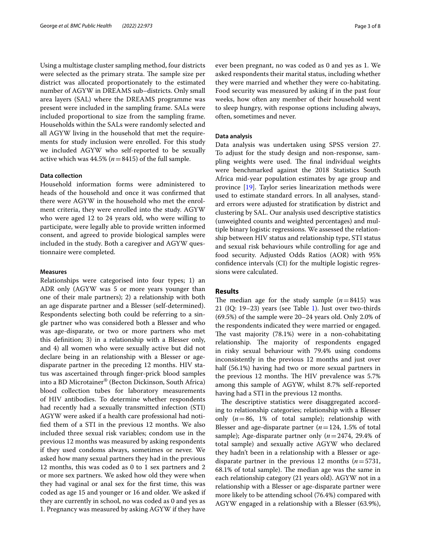Using a multistage cluster sampling method, four districts were selected as the primary strata. The sample size per district was allocated proportionately to the estimated number of AGYW in DREAMS sub–districts. Only small area layers (SAL) where the DREAMS programme was present were included in the sampling frame. SALs were included proportional to size from the sampling frame. Households within the SALs were randomly selected and all AGYW living in the household that met the requirements for study inclusion were enrolled. For this study we included AGYW who self-reported to be sexually active which was  $44.5\%$  ( $n=8415$ ) of the full sample.

### **Data collection**

Household information forms were administered to heads of the household and once it was confrmed that there were AGYW in the household who met the enrolment criteria, they were enrolled into the study. AGYW who were aged 12 to 24 years old, who were willing to participate, were legally able to provide written informed consent, and agreed to provide biological samples were included in the study. Both a caregiver and AGYW questionnaire were completed.

## **Measures**

Relationships were categorised into four types; 1) an ADR only (AGYW was 5 or more years younger than one of their male partners); 2) a relationship with both an age disparate partner and a Blesser (self-determined). Respondents selecting both could be referring to a single partner who was considered both a Blesser and who was age-disparate, or two or more partners who met this defnition; 3) in a relationship with a Blesser only, and 4) all women who were sexually active but did not declare being in an relationship with a Blesser or agedisparate partner in the preceding 12 months. HIV status was ascertained through fnger-prick blood samples into a BD Microtainer® (Becton Dickinson, South Africa) blood collection tubes for laboratory measurements of HIV antibodies. To determine whether respondents had recently had a sexually transmitted infection (STI) AGYW were asked if a health care professional had notifed them of a STI in the previous 12 months. We also included three sexual risk variables; condom use in the previous 12 months was measured by asking respondents if they used condoms always, sometimes or never. We asked how many sexual partners they had in the previous 12 months, this was coded as 0 to 1 sex partners and 2 or more sex partners. We asked how old they were when they had vaginal or anal sex for the frst time, this was coded as age 15 and younger or 16 and older. We asked if they are currently in school, no was coded as 0 and yes as 1. Pregnancy was measured by asking AGYW if they have ever been pregnant, no was coded as 0 and yes as 1. We asked respondents their marital status, including whether they were married and whether they were co-habitating. Food security was measured by asking if in the past four weeks, how often any member of their household went to sleep hungry, with response options including always, often, sometimes and never.

## **Data analysis**

Data analysis was undertaken using SPSS version 27. To adjust for the study design and non-response, sampling weights were used. The final individual weights were benchmarked against the 2018 Statistics South Africa mid-year population estimates by age group and province [[19](#page-7-8)]. Taylor series linearization methods were used to estimate standard errors. In all analyses, standard errors were adjusted for stratifcation by district and clustering by SAL. Our analysis used descriptive statistics (unweighted counts and weighted percentages) and multiple binary logistic regressions. We assessed the relationship between HIV status and relationship type, STI status and sexual risk behaviours while controlling for age and food security. Adjusted Odds Ratios (AOR) with 95% confdence intervals (CI) for the multiple logistic regressions were calculated.

## **Results**

The median age for the study sample  $(n=8415)$  was 21 (IQ: 19–23) years (see Table [1\)](#page-3-0). Just over two-thirds (69.5%) of the sample were 20–24 years old. Only 2.0% of the respondents indicated they were married or engaged. The vast majority  $(78.1%)$  were in a non-cohabitating relationship. The majority of respondents engaged in risky sexual behaviour with 79.4% using condoms inconsistently in the previous 12 months and just over half (56.1%) having had two or more sexual partners in the previous 12 months. The HIV prevalence was 5.7% among this sample of AGYW, whilst 8.7% self-reported having had a STI in the previous 12 months.

The descriptive statistics were disaggregated according to relationship categories; relationship with a Blesser only  $(n=86, 1\%$  of total sample); relationship with Blesser and age-disparate partner (*n*=124, 1.5% of total sample); Age-disparate partner only (*n*=2474, 29.4% of total sample) and sexually active AGYW who declared they hadn't been in a relationship with a Blesser or agedisparate partner in the previous 12 months (*n*=5731, 68.1% of total sample). The median age was the same in each relationship category (21 years old). AGYW not in a relationship with a Blesser or age-disparate partner were more likely to be attending school (76.4%) compared with AGYW engaged in a relationship with a Blesser (63.9%),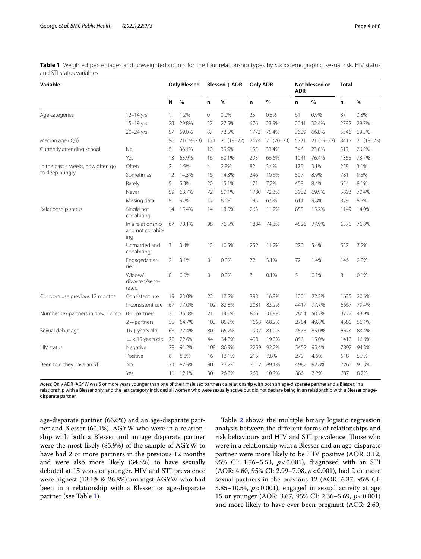| Variable                           |                                              | <b>Only Blessed</b> |               | $B$ lessed + ADR |             | <b>Only ADR</b> |             | Not blessed or<br><b>ADR</b> |             | <b>Total</b> |             |
|------------------------------------|----------------------------------------------|---------------------|---------------|------------------|-------------|-----------------|-------------|------------------------------|-------------|--------------|-------------|
|                                    |                                              | N                   | $\%$          | n                | %           | n               | %           | n                            | %           | n            | %           |
| Age categories                     | $12 - 14$ yrs                                | $\mathbf{1}$        | 1.2%          | 0                | 0.0%        | 25              | 0.8%        | 61                           | 0.9%        | 87           | 0.8%        |
|                                    | $15-19$ yrs                                  | 28                  | 29.8%         | 37               | 27.5%       | 676             | 23.9%       | 2041                         | 32.4%       | 2782         | 29.7%       |
|                                    | $20 - 24$ yrs                                | 57                  | 69.0%         | 87               | 72.5%       | 1773            | 75.4%       | 3629                         | 66.8%       | 5546         | 69.5%       |
| Median age (IQR)                   |                                              | 86                  | $21(19 - 23)$ | 124              | $21(19-22)$ | 2474            | $21(20-23)$ | 5731                         | $21(19-22)$ | 8415         | $21(19-23)$ |
| Currently attending school         | No                                           | 8                   | 36.1%         | 10               | 39.9%       | 155             | 33.4%       | 346                          | 23.6%       | 519          | 26.3%       |
|                                    | Yes                                          | 13                  | 63.9%         | 16               | 60.1%       | 295             | 66.6%       | 1041                         | 76.4%       | 1365         | 73.7%       |
| In the past 4 weeks, how often go  | Often                                        | 2                   | 1.9%          | 4                | 2.8%        | 82              | 3.4%        | 170                          | 3.1%        | 258          | 3.1%        |
| to sleep hungry                    | Sometimes                                    | 12                  | 14.3%         | 16               | 14.3%       | 246             | 10.5%       | 507                          | 8.9%        | 781          | 9.5%        |
|                                    | Rarely                                       | 5                   | 5.3%          | 20               | 15.1%       | 171             | 7.2%        | 458                          | 8.4%        | 654          | 8.1%        |
|                                    | Never                                        | 59                  | 68.7%         | 72               | 59.1%       | 1780            | 72.3%       | 3982                         | 69.9%       | 5893         | 70.4%       |
|                                    | Missing data                                 | 8                   | 9.8%          | 12               | 8.6%        | 195             | 6.6%        | 614                          | 9.8%        | 829          | 8.8%        |
| Relationship status                | Single not<br>cohabiting                     | 14                  | 15.4%         | 14               | 13.0%       | 263             | 11.2%       | 858                          | 15.2%       | 1149         | 14.0%       |
|                                    | In a relationship<br>and not cohabit-<br>ing | 67                  | 78.1%         | 98               | 76.5%       | 1884            | 74.3%       | 4526                         | 77.9%       | 6575         | 76.8%       |
|                                    | Unmarried and<br>cohabiting                  | 3                   | 3.4%          | 12               | 10.5%       | 252             | 11.2%       | 270                          | 5.4%        | 537          | 7.2%        |
|                                    | Engaged/mar-<br>ried                         | 2                   | 3.1%          | 0                | 0.0%        | 72              | 3.1%        | 72                           | 1.4%        | 146          | 2.0%        |
|                                    | Widow/<br>divorced/sepa-<br>rated            | $\circ$             | 0.0%          | 0                | 0.0%        | 3               | 0.1%        | 5                            | 0.1%        | 8            | 0.1%        |
| Condom use previous 12 months      | Consistent use                               | 19                  | 23.0%         | 22               | 17.2%       | 393             | 16.8%       | 1201                         | 22.3%       | 1635         | 20.6%       |
|                                    | Inconsistent use                             | 67                  | 77.0%         | 102              | 82.8%       | 2081            | 83.2%       | 4417                         | 77.7%       | 6667         | 79.4%       |
| Number sex partners in prev. 12 mo | $0-1$ partners                               | 31                  | 35.3%         | 21               | 14.1%       | 806             | 31.8%       | 2864                         | 50.2%       | 3722         | 43.9%       |
|                                    | $2 +$ partners                               | 55                  | 64.7%         | 103              | 85.9%       | 1668            | 68.2%       | 2754                         | 49.8%       | 4580         | 56.1%       |
| Sexual debut age                   | $16 +$ years old                             | 66                  | 77.4%         | 80               | 65.2%       | 1902            | 81.0%       | 4576                         | 85.0%       | 6624         | 83.4%       |
|                                    | $=$ < 15 years old                           | 20                  | 22.6%         | 44               | 34.8%       | 490             | 19.0%       | 856                          | 15.0%       | 1410         | 16.6%       |
| HIV status                         | Negative                                     | 78                  | 91.2%         | 108              | 86.9%       | 2259            | 92.2%       | 5452                         | 95.4%       | 7897         | 94.3%       |
|                                    | Positive                                     | 8                   | 8.8%          | 16               | 13.1%       | 215             | 7.8%        | 279                          | 4.6%        | 518          | 5.7%        |
| Been told they have an STI         | No                                           | 74                  | 87.9%         | 90               | 73.2%       | 2112            | 89.1%       | 4987                         | 92.8%       | 7263         | 91.3%       |
|                                    | Yes                                          | 11                  | 12.1%         | 30               | 26.8%       | 260             | 10.9%       | 386                          | 7.2%        | 687          | 8.7%        |

<span id="page-3-0"></span>**Table 1** Weighted percentages and unweighted counts for the four relationship types by sociodemographic, sexual risk, HIV status and STI status variables

*Notes*: Only ADR (AGYW was 5 or more years younger than one of their male sex partners); a relationship with both an age-disparate partner and a Blesser; in a relationship with a Blesser only, and the last category included all women who were sexually active but did not declare being in an relationship with a Blesser or agedisparate partner

age-disparate partner (66.6%) and an age-disparate partner and Blesser (60.1%). AGYW who were in a relationship with both a Blesser and an age disparate partner were the most likely (85.9%) of the sample of AGYW to have had 2 or more partners in the previous 12 months and were also more likely (34.8%) to have sexually debuted at 15 years or younger. HIV and STI prevalence were highest (13.1% & 26.8%) amongst AGYW who had been in a relationship with a Blesser or age-disparate partner (see Table [1](#page-3-0)).

Table [2](#page-4-0) shows the multiple binary logistic regression analysis between the diferent forms of relationships and risk behaviours and HIV and STI prevalence. Those who were in a relationship with a Blesser and an age-disparate partner were more likely to be HIV positive (AOR: 3.12, 95% CI: 1.76-5.53,  $p < 0.001$ ), diagnosed with an STI (AOR: 4.60, 95% CI: 2.99–7.08, *p*<0.001), had 2 or more sexual partners in the previous 12 (AOR: 6.37, 95% CI: 3.85–10.54,  $p < 0.001$ ), engaged in sexual activity at age 15 or younger (AOR: 3.67, 95% CI: 2.36–5.69, *p*<0.001) and more likely to have ever been pregnant (AOR: 2.60,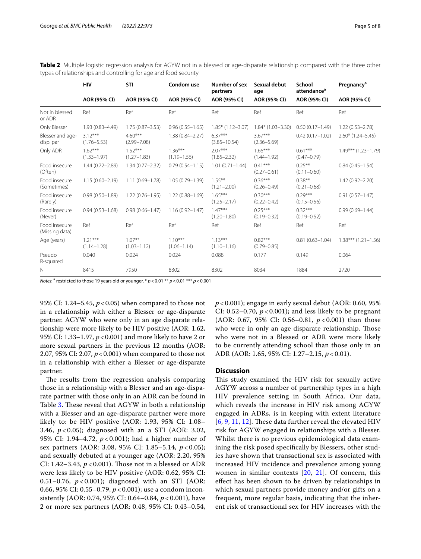<span id="page-4-0"></span>

| Table 2 Multiple logistic regression analysis for AGYW not in a blessed or age-disparate relationship compared with the three other |  |  |  |
|-------------------------------------------------------------------------------------------------------------------------------------|--|--|--|
| types of relationships and controlling for age and food security                                                                    |  |  |  |

|                                 | <b>HIV</b>                   | <b>STI</b>                   | Condom use                   | Number of sex<br>partners     | Sexual debut<br>age          | School<br>attendance <sup>a</sup> | <b>Pregnancy<sup>a</sup></b> |  |
|---------------------------------|------------------------------|------------------------------|------------------------------|-------------------------------|------------------------------|-----------------------------------|------------------------------|--|
|                                 | AOR (95% CI)                 | AOR (95% CI)                 | AOR (95% CI)                 | AOR (95% CI)                  | AOR (95% CI)                 | AOR (95% CI)                      | AOR (95% CI)                 |  |
| Not in blessed<br>or ADR        | Ref                          | Ref                          | Ref                          | Ref                           | Ref                          | Ref                               | Ref                          |  |
| Only Blesser                    | $1.93(0.83 - 4.49)$          | $1.75(0.87 - 3.53)$          | $0.96(0.55 - 1.65)$          | $1.85*$ (1.12-3.07)           | $1.84*$ (1.03-3.30)          | $0.50(0.17 - 1.49)$               | $1.22(0.53 - 2.78)$          |  |
| Blesser and age-<br>disp. par   | $3.12***$<br>$(1.76 - 5.53)$ | $4.60***$<br>$(2.99 - 7.08)$ | $1.38(0.84 - 2.27)$          | $6.37***$<br>$(3.85 - 10.54)$ | $3.67***$<br>$(2.36 - 5.69)$ | $0.42(0.17 - 1.02)$               | $2.60*$ (1.24-5.45)          |  |
| Only ADR                        | $1.62***$<br>$(1.33 - 1.97)$ | $1.52***$<br>$(1.27 - 1.83)$ | $1.36***$<br>$(1.19 - 1.56)$ | $2.07***$<br>$(1.85 - 2.32)$  | $1.66***$<br>$(1.44 - 1.92)$ | $0.61***$<br>$(0.47 - 0.79)$      | $1.49***$ $(1.23-1.79)$      |  |
| Food insecure<br>(Often)        | $1.44(0.72 - 2.89)$          | $1.34(0.77 - 2.32)$          | $0.79(0.54 - 1.15)$          | $1.01(0.71 - 1.44)$           | $0.41***$<br>$(0.27 - 0.61)$ | $0.25***$<br>$(0.11 - 0.60)$      | $0.84(0.45 - 1.54)$          |  |
| Food insecure<br>(Sometimes)    | $1.15(0.60 - 2.19)$          | $1.11(0.69 - 1.78)$          | $1.05(0.79 - 1.39)$          | $1.55***$<br>$(1.21 - 2.00)$  | $0.36***$<br>$(0.26 - 0.49)$ | $0.38***$<br>$(0.21 - 0.68)$      | $1.42(0.92 - 2.20)$          |  |
| Food insecure<br>(Rarely)       | $0.98(0.50 - 1.89)$          | $1.22(0.76 - 1.95)$          | $1.22(0.88 - 1.69)$          | $1.65***$<br>$(1.25 - 2.17)$  | $0.30***$<br>$(0.22 - 0.42)$ | $0.29***$<br>$(0.15 - 0.56)$      | $0.91(0.57 - 1.47)$          |  |
| Food insecure<br>(Never)        | $0.94(0.53 - 1.68)$          | $0.98(0.66 - 1.47)$          | $1.16(0.92 - 1.47)$          | $1.47***$<br>$(1.20 - 1.80)$  | $0.25***$<br>$(0.19 - 0.32)$ | $0.32***$<br>$(0.19 - 0.52)$      | $0.99(0.69 - 1.44)$          |  |
| Food insecure<br>(Missing data) | Ref                          | Ref                          | Ref                          | Ref                           | Ref                          | Ref                               | Ref                          |  |
| Age (years)                     | $1.21***$<br>$(1.14 - 1.28)$ | $1.07***$<br>$(1.03 - 1.12)$ | $110***$<br>$(1.06 - 1.14)$  | $1.13***$<br>$(1.10 - 1.16)$  | $0.82***$<br>$(0.79 - 0.85)$ | $0.81(0.63 - 1.04)$               | $1.38***(1.21-1.56)$         |  |
| Pseudo<br>R-squared             | 0.040                        | 0.024                        | 0.024                        | 0.088                         | 0.177                        | 0.149                             | 0.064                        |  |
| N                               | 8415                         | 7950                         | 8302                         | 8302                          | 8034                         | 1884                              | 2720                         |  |

*Notes*: <sup>a</sup> restricted to those 19 years old or younger.  $* p < 0.01 ** p < 0.01 ** p < 0.001$ 

95% CI: 1.24–5.45, *p*<0.05) when compared to those not in a relationship with either a Blesser or age-disparate partner. AGYW who were only in an age disparate relationship were more likely to be HIV positive (AOR: 1.62, 95% CI: 1.33–1.97, *p*<0.001) and more likely to have 2 or more sexual partners in the previous 12 months (AOR: 2.07, 95% CI: 2.07, *p*<0.001) when compared to those not in a relationship with either a Blesser or age-disparate partner.

The results from the regression analysis comparing those in a relationship with a Blesser and an age-disparate partner with those only in an ADR can be found in Table [3](#page-5-0). These reveal that AGYW in both a relationship with a Blesser and an age-disparate partner were more likely to: be HIV positive (AOR: 1.93, 95% CI: 1.08– 3.46, *p* < 0.05); diagnosed with an a STI (AOR: 3.02, 95% CI: 1.94–4.72, *p* < 0.001); had a higher number of sex partners (AOR: 3.08, 95% CI: 1.85–5.14, *p* < 0.05); and sexually debuted at a younger age (AOR: 2.20, 95% CI: 1.42–3.43, *p* < 0.001). Tose not in a blessed or ADR were less likely to be HIV positive (AOR: 0.62, 95% CI: 0.51–0.76, *p* < 0.001); diagnosed with an STI (AOR: 0.66, 95% CI: 0.55–0.79, *p* < 0.001); use a condom inconsistently (AOR: 0.74, 95% CI: 0.64–0.84, *p* < 0.001), have 2 or more sex partners (AOR: 0.48, 95% CI: 0.43–0.54, *p* < 0.001); engage in early sexual debut (AOR: 0.60, 95% CI: 0.52–0.70,  $p < 0.001$ ); and less likely to be pregnant (AOR: 0.67, 95% CI: 0.56–0.81, *p* < 0.001) than those who were in only an age disparate relationship. Those who were not in a Blessed or ADR were more likely to be currently attending school than those only in an ADR (AOR: 1.65, 95% CI: 1.27–2.15, *p* < 0.01).

### **Discussion**

This study examined the HIV risk for sexually active AGYW across a number of partnership types in a high HIV prevalence setting in South Africa. Our data, which reveals the increase in HIV risk among AGYW engaged in ADRs, is in keeping with extent literature  $[6, 9, 11, 12]$  $[6, 9, 11, 12]$  $[6, 9, 11, 12]$  $[6, 9, 11, 12]$  $[6, 9, 11, 12]$  $[6, 9, 11, 12]$  $[6, 9, 11, 12]$ . These data further reveal the elevated HIV risk for AGYW engaged in relationships with a Blesser. Whilst there is no previous epidemiological data examining the risk posed specifcally by Blessers, other studies have shown that transactional sex is associated with increased HIV incidence and prevalence among young women in similar contexts [[20,](#page-7-9) [21\]](#page-7-10). Of concern, this efect has been shown to be driven by relationships in which sexual partners provide money and/or gifts on a frequent, more regular basis, indicating that the inherent risk of transactional sex for HIV increases with the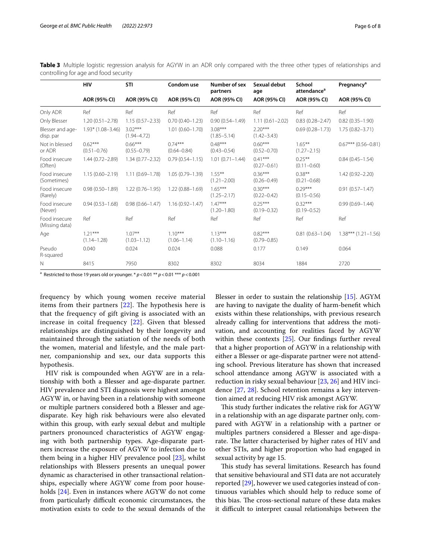<span id="page-5-0"></span>

| Table 3 Multiple logistic regression analysis for AGYW in an ADR only compared with the three other types of relationships and |  |  |  |  |  |  |
|--------------------------------------------------------------------------------------------------------------------------------|--|--|--|--|--|--|
| controlling for age and food security                                                                                          |  |  |  |  |  |  |

|                                 | HIV                          | STI                          | Condom use                   | Number of sex<br>partners    | Sexual debut<br>age          | School<br>attendance <sup>a</sup> | Pregnancy <sup>a</sup> |  |
|---------------------------------|------------------------------|------------------------------|------------------------------|------------------------------|------------------------------|-----------------------------------|------------------------|--|
|                                 | AOR (95% CI)                 | AOR (95% CI)                 | AOR (95% CI)                 | AOR (95% CI)                 | AOR (95% CI)                 | AOR (95% CI)                      | AOR (95% CI)           |  |
| Only ADR                        | Ref                          | Ref                          | Ref                          | Ref                          | Ref                          | Ref                               | Ref                    |  |
| Only Blesser                    | $1.20(0.51 - 2.78)$          | $1.15(0.57 - 2.33)$          | $0.70(0.40 - 1.23)$          | $0.90(0.54 - 1.49)$          | $1.11(0.61 - 2.02)$          | $0.83(0.28 - 2.47)$               | $0.82(0.35 - 1.90)$    |  |
| Blesser and age-<br>disp. par   | $1.93*$ (1.08-3.46)          | $3.02***$<br>$(1.94 - 4.72)$ | $1.01(0.60 - 1.70)$          | $3.08***$<br>$(1.85 - 5.14)$ | $2.20***$<br>$(1.42 - 3.43)$ | $0.69(0.28 - 1.73)$               | $1.75(0.82 - 3.71)$    |  |
| Not in blessed<br>or ADR        | $0.62***$<br>$(0.51 - 0.76)$ | $0.66***$<br>$(0.55 - 0.79)$ | $0.74***$<br>$(0.64 - 0.84)$ | $0.48***$<br>$(0.43 - 0.54)$ | $0.60***$<br>$(0.52 - 0.70)$ | $1.65***$<br>$(1.27 - 2.15)$      | $0.67***$ (0.56-0.81)  |  |
| Food insecure<br>(Often)        | $1.44(0.72 - 2.89)$          | $1.34(0.77 - 2.32)$          | $0.79(0.54 - 1.15)$          | $1.01(0.71 - 1.44)$          | $0.41***$<br>$(0.27 - 0.61)$ | $0.25***$<br>$(0.11 - 0.60)$      | $0.84(0.45 - 1.54)$    |  |
| Food insecure<br>(Sometimes)    | $1.15(0.60 - 2.19)$          | $1.11(0.69 - 1.78)$          | $1.05(0.79 - 1.39)$          | $1.55***$<br>$(1.21 - 2.00)$ | $0.36***$<br>$(0.26 - 0.49)$ | $0.38***$<br>$(0.21 - 0.68)$      | $1.42(0.92 - 2.20)$    |  |
| Food insecure<br>(Rarely)       | $0.98(0.50 - 1.89)$          | $1.22(0.76 - 1.95)$          | $1.22(0.88 - 1.69)$          | $1.65***$<br>$(1.25 - 2.17)$ | $0.30***$<br>$(0.22 - 0.42)$ | $0.29***$<br>$(0.15 - 0.56)$      | $0.91(0.57 - 1.47)$    |  |
| Food insecure<br>(Never)        | $0.94(0.53 - 1.68)$          | $0.98(0.66 - 1.47)$          | $1.16(0.92 - 1.47)$          | $147***$<br>$(1.20 - 1.80)$  | $0.25***$<br>$(0.19 - 0.32)$ | $0.32***$<br>$(0.19 - 0.52)$      | $0.99(0.69 - 1.44)$    |  |
| Food insecure<br>(Missing data) | Ref                          | Ref                          | Ref                          | Ref                          | Ref                          | Ref                               | Ref                    |  |
| Age                             | $1.21***$<br>$(1.14 - 1.28)$ | $1.07***$<br>$(1.03 - 1.12)$ | $1.10***$<br>$(1.06 - 1.14)$ | $1.13***$<br>$(1.10 - 1.16)$ | $0.82***$<br>$(0.79 - 0.85)$ | $0.81(0.63 - 1.04)$               | $1.38***(1.21-1.56)$   |  |
| Pseudo<br>R-squared             | 0.040                        | 0.024                        | 0.024                        | 0.088                        | 0.177                        | 0.149                             | 0.064                  |  |
| N                               | 8415                         | 7950                         | 8302                         | 8302                         | 8034                         | 1884                              | 2720                   |  |

a Restricted to those 19 years old or younger. \* *p*<0.01 \*\* *p*<0.01 \*\*\* *p*<0.001

frequency by which young women receive material items from their partners  $[22]$  $[22]$  $[22]$ . The hypothesis here is that the frequency of gift giving is associated with an increase in coital frequency [[22\]](#page-7-11). Given that blessed relationships are distinguished by their longevity and maintained through the satiation of the needs of both the women, material and lifestyle, and the male partner, companionship and sex, our data supports this hypothesis.

HIV risk is compounded when AGYW are in a relationship with both a Blesser and age-disparate partner. HIV prevalence and STI diagnosis were highest amongst AGYW in, or having been in a relationship with someone or multiple partners considered both a Blesser and agedisparate. Key high risk behaviours were also elevated within this group, with early sexual debut and multiple partners pronounced characteristics of AGYW engaging with both partnership types. Age-disparate partners increase the exposure of AGYW to infection due to them being in a higher HIV prevalence pool [[23](#page-7-12)], whilst relationships with Blessers presents an unequal power dynamic as characterised in other transactional relationships, especially where AGYW come from poor households [[24\]](#page-7-13). Even in instances where AGYW do not come from particularly difficult economic circumstances, the motivation exists to cede to the sexual demands of the Blesser in order to sustain the relationship [\[15](#page-7-4)]. AGYM are having to navigate the duality of harm-beneft which exists within these relationships, with previous research already calling for interventions that address the motivation, and accounting for realities faced by AGYW within these contexts [[25\]](#page-7-14). Our fndings further reveal that a higher proportion of AGYW in a relationship with either a Blesser or age-disparate partner were not attending school. Previous literature has shown that increased school attendance among AGYW is associated with a reduction in risky sexual behaviour [[23,](#page-7-12) [26\]](#page-7-15) and HIV incidence [\[27,](#page-7-16) [28](#page-7-17)]. School retention remains a key intervention aimed at reducing HIV risk amongst AGYW.

This study further indicates the relative risk for AGYW in a relationship with an age disparate partner only, compared with AGYW in a relationship with a partner or multiples partners considered a Blesser and age-disparate. The latter characterised by higher rates of HIV and other STIs, and higher proportion who had engaged in sexual activity by age 15.

This study has several limitations. Research has found that sensitive behavioural and STI data are not accurately reported [[29\]](#page-7-18), however we used categories instead of continuous variables which should help to reduce some of this bias. The cross-sectional nature of these data makes it difficult to interpret causal relationships between the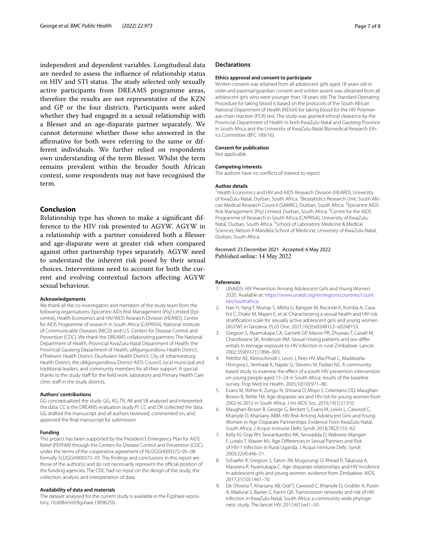independent and dependent variables. Longitudinal data are needed to assess the infuence of relationship status on HIV and STI status. The study selected only sexually active participants from DREAMS programme areas, therefore the results are not representative of the KZN and GP or the four districts. Participants were asked whether they had engaged in a sexual relationship with a Blesser and an age-disparate partner separately. We cannot determine whether those who answered in the afrmative for both were referring to the same or different individuals. We further relied on respondents own understanding of the term Blesser. Whilst the term remains prevalent within the broader South African context, some respondents may not have recognised the term.

## **Conclusion**

Relationship type has shown to make a signifcant difference to the HIV risk presented to AGYW. AGYW in a relationship with a partner considered both a Blesser and age-disparate were at greater risk when compared against other partnership types separately. AGYW need to understand the inherent risk posed by their sexual choices. Interventions need to account for both the current and evolving contextual factors afecting AGYW sexual behaviour.

#### **Acknowledgements**

We thank all the co-investigators and members of the study team from the following organisations: Epicentre AIDs Risk Management (Pty) Limited (Epicentre), Health Economics and HIV/AIDS Research Division (HEARD), Centre for AIDS Programme of research in South Africa (CAPRISA), National Institute of Communicable Diseases (NICD) and U.S. Centers for Disease Control and Prevention (CDC). We thank the DREAMS collaborating partners: The National Department of Health, Provincial KwaZulu-Natal Department of Health, the Provincial Gauteng Department of Health, uMgungundlovu Health District, eThekwini Health District, Ekurhuleni Health District, City of Johannesburg Health District, the uMgungundlovu District AIDS Council, local municipal and traditional leaders, and community members for all their support. A special thanks to the study staff for the field work, laboratory and Primary Health Care clinic staff in the study districts.

#### **Authors' contributions**

GG conceptualized the study. GG, KG, TR, AK and SB analysed and interpreted the data. CC is the DREAMS evaluation study PI. CC and DK collected the data. GG drafted the manuscript and all authors reviewed, commented on, and approved the fnal manuscript for submission.

#### **Funding**

This project has been supported by the President's Emergency Plan for AIDS Relief (PEPFAR) through the Centers for Disease Control and Prevention (CDC) under the terms of the cooperative agreement of NU2GGH000372–05–08 formally 5U2GGH000372–05. The fndings and conclusions in this report are those of the author(s) and do not necessarily represent the official position of the funding agencies. The CDC had no input on the design of the study, the collection, analysis and interpretation of data.

#### **Availability of data and materials**

The dataset analysed for the current study is available in the Figshare repository, 10.6084/m9.fgshare.19096250.

#### **Declarations**

#### **Ethics approval and consent to participate**

Written consent was attained from all adolescent girls aged 18 years old or older and parental/guardian consent and written assent was obtained from all adolescent girls who were younger than 18 years old. The Standard Operating Procedure for taking blood is based on the protocols of the South African National Department of Health (NDoH) for taking blood for the HIV Polymerase chain reaction (PCR) test. The study was granted ethical clearance by the Provincial Department of Health in both KwaZulu-Natal and Gauteng Province in South Africa and the University of KwaZulu-Natal Biomedical Research Ethics Committee (BFC 189/16).

#### **Consent for publication**

Not applicable.

#### **Competing interests**

The authors have no conficts of interest to report.

#### **Author details**

<sup>1</sup> Health Economics and HIV and AIDS Research Division (HEARD), University of KwaZulu-Natal, Durban, South Africa. <sup>2</sup> Biostatistics Research Unit, South African Medical Research Council (SAMRC), Durban, South Africa.<sup>3</sup> Epicentre AIDS Risk Management (Pty) Limited, Durban, South Africa. <sup>4</sup> Centre for the AIDS Programme of Research in South Africa (CAPRISA), University of KwaZulu-Natal, Durban, South Africa. <sup>5</sup> School of Laboratory Medicine & Medical Sciences, Nelson R Mandela School of Medicine, University of KwaZulu-Natal, Durban, South Africa.

## Received: 23 December 2021 Accepted: 6 May 2022 Published online: 14 May 2022

#### **References**

- <span id="page-6-0"></span>1. UNAIDS: HIV Prevention Among Adolescent Girls and Young Women. 2020. Available at: [https://www.unaids.org/en/regionscountries/count](https://www.unaids.org/en/regionscountries/countries/southafrica) [ries/southafrica.](https://www.unaids.org/en/regionscountries/countries/southafrica)
- <span id="page-6-1"></span>2. Han H, Yang F, Murray S, Mbita G, Bangser M, Rucinski K, Komba A, Casalini C, Drake M, Majani E, et al. Characterizing a sexual health and HIV risk stratifcation scale for sexually active adolescent girls and young women (AGYW) in Tanzania. PLoS One. 2021;16(3):e0248153–e0248153.
- <span id="page-6-2"></span>3. Gregson S, Nyamukapa CA, Garnett GP, Mason PR, Zhuwau T, Caraël M, Chandiwana SK, Anderson RM. Sexual mixing patterns and sex-diferentials in teenage exposure to HIV infection in rural Zimbabwe. Lancet. 2002;359(9321):1896–903.
- <span id="page-6-3"></span>4. Pettifor AE, Kleinschmidt I, Levin J, Rees HV, MacPhail C, Madikizela-Hlongwa L, Vermaak K, Napier G, Stevens W, Padian NS. A communitybased study to examine the effect of a youth HIV prevention intervention on young people aged 15–24 in South Africa: results of the baseline survey. Trop Med Int Health. 2005;10(10):971–80.
- 5. Evans M, Risher K, Zungu N, Shisana O, Moyo S, Celentano DD, Maughan-Brown B, Rehle TM. Age-disparate sex and HIV risk for young women from 2002 to 2012 in South Africa. J Int AIDS Soc. 2016;19(1):21310.
- <span id="page-6-4"></span>6. Maughan-Brown B, George G, Beckett S, Evans M, Lewis L, Cawood C, Khanyile D, Kharsany ABM. HIV Risk Among Adolescent Girls and Young Women in Age-Disparate Partnerships: Evidence From KwaZulu-Natal, South Africa. J Acquir Immune Defc Syndr. 2018;78(2):155–62.
- Kelly RJ, Gray RH, Sewankambo NK, Serwadda D, Wabwire-Mangen F, Lutalo T, Wawer MJ. Age Diferences in Sexual Partners and Risk of HIV-1 Infection in Rural Uganda. J Acquir Immune Defc Syndr. 2003;32(4):446–51.
- Schaefer R, Gregson S, Eaton JW, Mugurungi O, Rhead R, Takaruza A, Maswera R, Nyamukapa C. Age-disparate relationships and HIV incidence in adolescent girls and young women: evidence from Zimbabwe. AIDS. 2017;31(10):1461–70.
- <span id="page-6-5"></span>9. De Oliveira T, Kharsany AB, Gräf T, Cawood C, Khanyile D, Grobler A, Puren A, Madurai S, Baxter C, Karim QA. Transmission networks and risk of HIV infection in KwaZulu-Natal, South Africa: a community-wide phylogenetic study. The lancet HIV. 2017;4(1):e41–50.